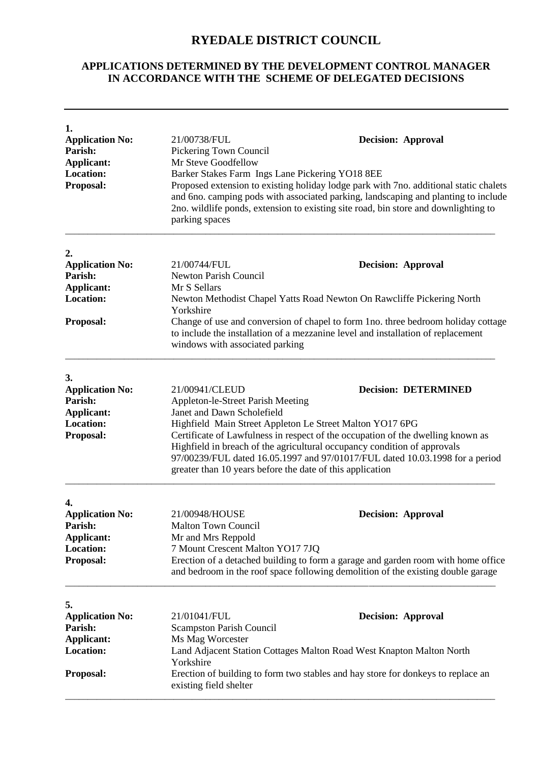## **RYEDALE DISTRICT COUNCIL**

## **APPLICATIONS DETERMINED BY THE DEVELOPMENT CONTROL MANAGER IN ACCORDANCE WITH THE SCHEME OF DELEGATED DECISIONS**

| 1.<br><b>Application No:</b><br>Parish:<br><b>Applicant:</b>                                                                                                                                                                                                                                             | 21/00738/FUL<br><b>Decision: Approval</b><br>Pickering Town Council                                                                                                                                                                                                                                                                                            |                             |  |
|----------------------------------------------------------------------------------------------------------------------------------------------------------------------------------------------------------------------------------------------------------------------------------------------------------|----------------------------------------------------------------------------------------------------------------------------------------------------------------------------------------------------------------------------------------------------------------------------------------------------------------------------------------------------------------|-----------------------------|--|
| <b>Location:</b><br>Proposal:                                                                                                                                                                                                                                                                            | Mr Steve Goodfellow<br>Barker Stakes Farm Ings Lane Pickering YO18 8EE<br>Proposed extension to existing holiday lodge park with 7no. additional static chalets<br>and 6no. camping pods with associated parking, landscaping and planting to include<br>2no. wildlife ponds, extension to existing site road, bin store and downlighting to<br>parking spaces |                             |  |
| 2.                                                                                                                                                                                                                                                                                                       |                                                                                                                                                                                                                                                                                                                                                                |                             |  |
| <b>Application No:</b>                                                                                                                                                                                                                                                                                   | 21/00744/FUL                                                                                                                                                                                                                                                                                                                                                   | <b>Decision: Approval</b>   |  |
| Parish:                                                                                                                                                                                                                                                                                                  | <b>Newton Parish Council</b>                                                                                                                                                                                                                                                                                                                                   |                             |  |
| <b>Applicant:</b>                                                                                                                                                                                                                                                                                        | Mr S Sellars                                                                                                                                                                                                                                                                                                                                                   |                             |  |
| <b>Location:</b>                                                                                                                                                                                                                                                                                         | Newton Methodist Chapel Yatts Road Newton On Rawcliffe Pickering North<br>Yorkshire                                                                                                                                                                                                                                                                            |                             |  |
| Proposal:                                                                                                                                                                                                                                                                                                | Change of use and conversion of chapel to form 1no. three bedroom holiday cottage<br>to include the installation of a mezzanine level and installation of replacement<br>windows with associated parking                                                                                                                                                       |                             |  |
| 3.                                                                                                                                                                                                                                                                                                       |                                                                                                                                                                                                                                                                                                                                                                |                             |  |
| <b>Application No:</b>                                                                                                                                                                                                                                                                                   | 21/00941/CLEUD                                                                                                                                                                                                                                                                                                                                                 | <b>Decision: DETERMINED</b> |  |
| Parish:                                                                                                                                                                                                                                                                                                  | Appleton-le-Street Parish Meeting                                                                                                                                                                                                                                                                                                                              |                             |  |
| <b>Applicant:</b><br><b>Location:</b>                                                                                                                                                                                                                                                                    | Janet and Dawn Scholefield<br>Highfield Main Street Appleton Le Street Malton YO17 6PG                                                                                                                                                                                                                                                                         |                             |  |
| Proposal:                                                                                                                                                                                                                                                                                                |                                                                                                                                                                                                                                                                                                                                                                |                             |  |
| Certificate of Lawfulness in respect of the occupation of the dwelling known as<br>Highfield in breach of the agricultural occupancy condition of approvals<br>97/00239/FUL dated 16.05.1997 and 97/01017/FUL dated 10.03.1998 for a period<br>greater than 10 years before the date of this application |                                                                                                                                                                                                                                                                                                                                                                |                             |  |
| 4.                                                                                                                                                                                                                                                                                                       |                                                                                                                                                                                                                                                                                                                                                                |                             |  |
| <b>Application No:</b>                                                                                                                                                                                                                                                                                   | 21/00948/HOUSE                                                                                                                                                                                                                                                                                                                                                 | <b>Decision: Approval</b>   |  |
| Parish:                                                                                                                                                                                                                                                                                                  | <b>Malton Town Council</b>                                                                                                                                                                                                                                                                                                                                     |                             |  |
| <b>Applicant:</b>                                                                                                                                                                                                                                                                                        | Mr and Mrs Reppold                                                                                                                                                                                                                                                                                                                                             |                             |  |
| <b>Location:</b>                                                                                                                                                                                                                                                                                         | 7 Mount Crescent Malton YO17 7JQ                                                                                                                                                                                                                                                                                                                               |                             |  |
| Proposal:                                                                                                                                                                                                                                                                                                | Erection of a detached building to form a garage and garden room with home office<br>and bedroom in the roof space following demolition of the existing double garage                                                                                                                                                                                          |                             |  |
| 5.                                                                                                                                                                                                                                                                                                       |                                                                                                                                                                                                                                                                                                                                                                |                             |  |
| <b>Application No:</b>                                                                                                                                                                                                                                                                                   | 21/01041/FUL                                                                                                                                                                                                                                                                                                                                                   | <b>Decision: Approval</b>   |  |
| Parish:                                                                                                                                                                                                                                                                                                  | <b>Scampston Parish Council</b>                                                                                                                                                                                                                                                                                                                                |                             |  |
| <b>Applicant:</b>                                                                                                                                                                                                                                                                                        | Ms Mag Worcester                                                                                                                                                                                                                                                                                                                                               |                             |  |
| <b>Location:</b>                                                                                                                                                                                                                                                                                         | Land Adjacent Station Cottages Malton Road West Knapton Malton North                                                                                                                                                                                                                                                                                           |                             |  |
| Proposal:                                                                                                                                                                                                                                                                                                | Yorkshire<br>Erection of building to form two stables and hay store for donkeys to replace an<br>existing field shelter                                                                                                                                                                                                                                        |                             |  |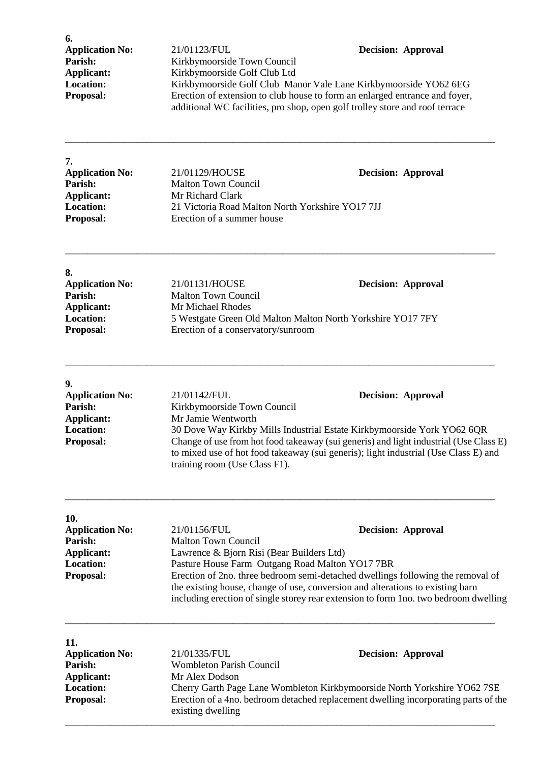**6.**

## **Application No:** 21/01123/FUL **Decision: Approval Parish: Approval Ration: Approval Ration: Approval Barish: Barish: Barish: Barish: Barish: Barish: Barish: Barish: Barish: Barish: Barish:** Parish: Kirkbymoorside Town Council<br> **Applicant:** Kirkbymoorside Golf Club Ltd **Applicant:** Kirkbymoorside Golf Club Ltd<br> **Location:** Kirkbymoorside Golf Club Ma **Location:** Kirkbymoorside Golf Club Manor Vale Lane Kirkbymoorside YO62 6EG<br>**Proposal:** Erection of extension to club house to form an enlarged entrance and foyer, Erection of extension to club house to form an enlarged entrance and foyer, additional WC facilities, pro shop, open golf trolley store and roof terrace

| <b>Application No:</b> | 21/01129/HOUSE                                   | <b>Decision: Approval</b> |
|------------------------|--------------------------------------------------|---------------------------|
| Parish:                | <b>Malton Town Council</b>                       |                           |
| Applicant:             | Mr Richard Clark                                 |                           |
| <b>Location:</b>       | 21 Victoria Road Malton North Yorkshire YO17 7JJ |                           |
| <b>Proposal:</b>       | Erection of a summer house                       |                           |

\_\_\_\_\_\_\_\_\_\_\_\_\_\_\_\_\_\_\_\_\_\_\_\_\_\_\_\_\_\_\_\_\_\_\_\_\_\_\_\_\_\_\_\_\_\_\_\_\_\_\_\_\_\_\_\_\_\_\_\_\_\_\_\_\_\_\_\_\_\_\_\_\_\_\_\_\_\_\_\_\_\_\_\_\_\_\_\_\_\_\_\_\_\_\_

| 8.                     |                                                             |                           |
|------------------------|-------------------------------------------------------------|---------------------------|
| <b>Application No:</b> | 21/01131/HOUSE                                              | <b>Decision: Approval</b> |
| Parish:                | <b>Malton Town Council</b>                                  |                           |
| Applicant:             | Mr Michael Rhodes                                           |                           |
| <b>Location:</b>       | 5 Westgate Green Old Malton Malton North Yorkshire YO17 7FY |                           |
| <b>Proposal:</b>       | Erection of a conservatory/sunroom                          |                           |

\_\_\_\_\_\_\_\_\_\_\_\_\_\_\_\_\_\_\_\_\_\_\_\_\_\_\_\_\_\_\_\_\_\_\_\_\_\_\_\_\_\_\_\_\_\_\_\_\_\_\_\_\_\_\_\_\_\_\_\_\_\_\_\_\_\_\_\_\_\_\_\_\_\_\_\_\_\_\_\_\_\_\_\_\_\_\_\_\_\_\_\_\_\_\_

| 9.                                                                                                                                                                                                                                |                             |                                                                         |
|-----------------------------------------------------------------------------------------------------------------------------------------------------------------------------------------------------------------------------------|-----------------------------|-------------------------------------------------------------------------|
| <b>Application No:</b>                                                                                                                                                                                                            | 21/01142/FUL                | <b>Decision: Approval</b>                                               |
| Parish:                                                                                                                                                                                                                           | Kirkbymoorside Town Council |                                                                         |
| Applicant:                                                                                                                                                                                                                        | Mr Jamie Wentworth          |                                                                         |
| <b>Location:</b>                                                                                                                                                                                                                  |                             | 30 Dove Way Kirkby Mills Industrial Estate Kirkbymoorside York YO62 6QR |
| Change of use from hot food takeaway (sui generis) and light industrial (Use Class E)<br><b>Proposal:</b><br>to mixed use of hot food takeaway (sui generis); light industrial (Use Class E) and<br>training room (Use Class F1). |                             |                                                                         |

\_\_\_\_\_\_\_\_\_\_\_\_\_\_\_\_\_\_\_\_\_\_\_\_\_\_\_\_\_\_\_\_\_\_\_\_\_\_\_\_\_\_\_\_\_\_\_\_\_\_\_\_\_\_\_\_\_\_\_\_\_\_\_\_\_\_\_\_\_\_\_\_\_\_\_\_\_\_\_\_\_\_\_\_\_\_\_\_\_\_\_\_\_\_\_

| 10.                    |                                                                                 |                                                                                      |
|------------------------|---------------------------------------------------------------------------------|--------------------------------------------------------------------------------------|
| <b>Application No:</b> | 21/01156/FUL                                                                    | <b>Decision: Approval</b>                                                            |
| <b>Parish:</b>         | <b>Malton Town Council</b>                                                      |                                                                                      |
| Applicant:             | Lawrence & Bjorn Risi (Bear Builders Ltd)                                       |                                                                                      |
| <b>Location:</b>       | Pasture House Farm Outgang Road Malton YO17 7BR                                 |                                                                                      |
| <b>Proposal:</b>       | Erection of 2no. three bedroom semi-detached dwellings following the removal of |                                                                                      |
|                        | the existing house, change of use, conversion and alterations to existing barn  |                                                                                      |
|                        |                                                                                 | including erection of single storey rear extension to form 1no. two bedroom dwelling |

\_\_\_\_\_\_\_\_\_\_\_\_\_\_\_\_\_\_\_\_\_\_\_\_\_\_\_\_\_\_\_\_\_\_\_\_\_\_\_\_\_\_\_\_\_\_\_\_\_\_\_\_\_\_\_\_\_\_\_\_\_\_\_\_\_\_\_\_\_\_\_\_\_\_\_\_\_\_\_\_\_\_\_\_\_\_\_\_\_\_\_\_\_\_\_

| 11.<br><b>Application No:</b> | 21/01335/FUL                                                                                             | <b>Decision: Approval</b>                                                |
|-------------------------------|----------------------------------------------------------------------------------------------------------|--------------------------------------------------------------------------|
| Parish:                       | <b>Wombleton Parish Council</b>                                                                          |                                                                          |
| Applicant:                    | Mr Alex Dodson                                                                                           |                                                                          |
| <b>Location:</b>              |                                                                                                          | Cherry Garth Page Lane Wombleton Kirkbymoorside North Yorkshire YO62 7SE |
| <b>Proposal:</b>              | Erection of a 4no. bedroom detached replacement dwelling incorporating parts of the<br>existing dwelling |                                                                          |

\_\_\_\_\_\_\_\_\_\_\_\_\_\_\_\_\_\_\_\_\_\_\_\_\_\_\_\_\_\_\_\_\_\_\_\_\_\_\_\_\_\_\_\_\_\_\_\_\_\_\_\_\_\_\_\_\_\_\_\_\_\_\_\_\_\_\_\_\_\_\_\_\_\_\_\_\_\_\_\_\_\_\_\_\_\_\_\_\_\_\_\_\_\_\_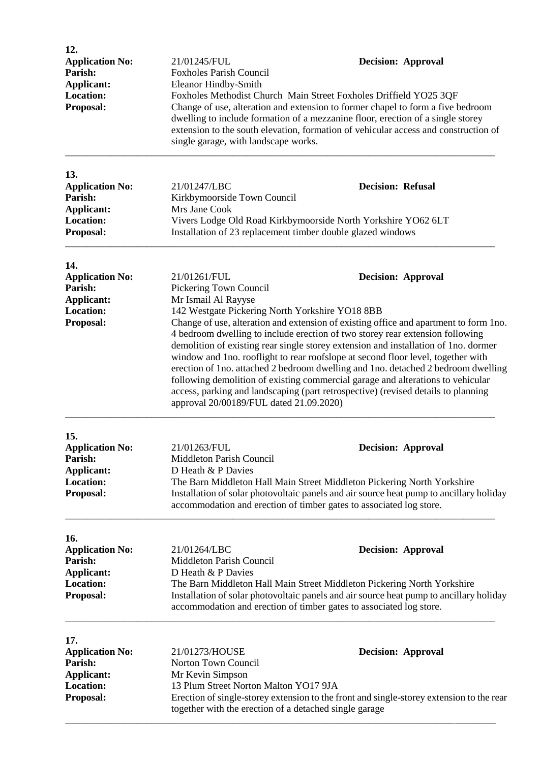| 12.<br><b>Application No:</b><br>Parish:                                                       | 21/01245/FUL<br><b>Foxholes Parish Council</b>                                                                                                                                                                                                                                                                                                                                                                                                                                                                                                                                                                                                                                                                                                                                                             |                          | <b>Decision: Approval</b> |
|------------------------------------------------------------------------------------------------|------------------------------------------------------------------------------------------------------------------------------------------------------------------------------------------------------------------------------------------------------------------------------------------------------------------------------------------------------------------------------------------------------------------------------------------------------------------------------------------------------------------------------------------------------------------------------------------------------------------------------------------------------------------------------------------------------------------------------------------------------------------------------------------------------------|--------------------------|---------------------------|
| Applicant:<br><b>Location:</b><br>Proposal:                                                    | <b>Eleanor Hindby-Smith</b><br>Foxholes Methodist Church Main Street Foxholes Driffield YO25 3QF<br>Change of use, alteration and extension to former chapel to form a five bedroom<br>dwelling to include formation of a mezzanine floor, erection of a single storey<br>extension to the south elevation, formation of vehicular access and construction of<br>single garage, with landscape works.                                                                                                                                                                                                                                                                                                                                                                                                      |                          |                           |
| 13.<br><b>Application No:</b><br>Parish:<br><b>Applicant:</b><br><b>Location:</b>              | 21/01247/LBC<br>Kirkbymoorside Town Council<br>Mrs Jane Cook<br>Vivers Lodge Old Road Kirkbymoorside North Yorkshire YO62 6LT                                                                                                                                                                                                                                                                                                                                                                                                                                                                                                                                                                                                                                                                              | <b>Decision: Refusal</b> |                           |
| Proposal:                                                                                      | Installation of 23 replacement timber double glazed windows                                                                                                                                                                                                                                                                                                                                                                                                                                                                                                                                                                                                                                                                                                                                                |                          |                           |
| 14.<br><b>Application No:</b><br>Parish:<br>Applicant:<br><b>Location:</b><br>Proposal:        | <b>Decision: Approval</b><br>21/01261/FUL<br>Pickering Town Council<br>Mr Ismail Al Rayyse<br>142 Westgate Pickering North Yorkshire YO18 8BB<br>Change of use, alteration and extension of existing office and apartment to form 1no.<br>4 bedroom dwelling to include erection of two storey rear extension following<br>demolition of existing rear single storey extension and installation of 1no. dormer<br>window and 1no. rooflight to rear roofslope at second floor level, together with<br>erection of 1no. attached 2 bedroom dwelling and 1no. detached 2 bedroom dwelling<br>following demolition of existing commercial garage and alterations to vehicular<br>access, parking and landscaping (part retrospective) (revised details to planning<br>approval 20/00189/FUL dated 21.09.2020) |                          |                           |
| 15.<br><b>Application No:</b><br>Parish:<br>Applicant:<br><b>Location:</b><br>Proposal:        | 21/01263/FUL<br>Middleton Parish Council<br>D Heath & P Davies<br>The Barn Middleton Hall Main Street Middleton Pickering North Yorkshire<br>Installation of solar photovoltaic panels and air source heat pump to ancillary holiday<br>accommodation and erection of timber gates to associated log store.                                                                                                                                                                                                                                                                                                                                                                                                                                                                                                |                          | <b>Decision: Approval</b> |
| 16.<br><b>Application No:</b><br>Parish:<br><b>Applicant:</b><br><b>Location:</b><br>Proposal: | 21/01264/LBC<br>Middleton Parish Council<br>D Heath & P Davies<br>The Barn Middleton Hall Main Street Middleton Pickering North Yorkshire<br>Installation of solar photovoltaic panels and air source heat pump to ancillary holiday<br>accommodation and erection of timber gates to associated log store.                                                                                                                                                                                                                                                                                                                                                                                                                                                                                                |                          | <b>Decision: Approval</b> |
| 17.<br><b>Application No:</b><br>Parish:<br>Applicant:<br><b>Location:</b><br>Proposal:        | 21/01273/HOUSE<br><b>Decision: Approval</b><br>Norton Town Council<br>Mr Kevin Simpson<br>13 Plum Street Norton Malton YO17 9JA<br>Erection of single-storey extension to the front and single-storey extension to the rear<br>together with the erection of a detached single garage                                                                                                                                                                                                                                                                                                                                                                                                                                                                                                                      |                          |                           |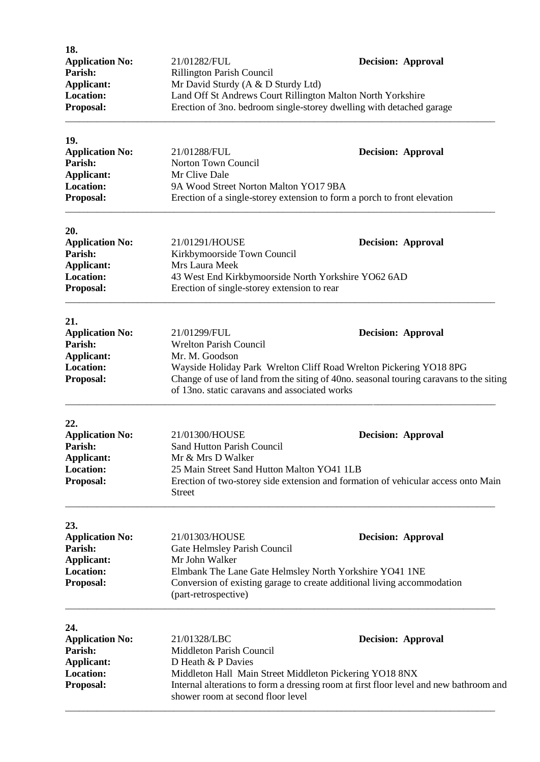| 18.<br><b>Application No:</b><br>Parish:<br>Applicant:<br><b>Location:</b><br>Proposal:        | 21/01282/FUL<br><b>Rillington Parish Council</b><br>Mr David Sturdy (A & D Sturdy Ltd)<br>Land Off St Andrews Court Rillington Malton North Yorkshire<br>Erection of 3no. bedroom single-storey dwelling with detached garage  | <b>Decision: Approval</b>                                                                                           |
|------------------------------------------------------------------------------------------------|--------------------------------------------------------------------------------------------------------------------------------------------------------------------------------------------------------------------------------|---------------------------------------------------------------------------------------------------------------------|
| 19.<br><b>Application No:</b><br>Parish:<br><b>Applicant:</b><br><b>Location:</b><br>Proposal: | 21/01288/FUL<br>Norton Town Council<br>Mr Clive Dale<br>9A Wood Street Norton Malton YO17 9BA<br>Erection of a single-storey extension to form a porch to front elevation                                                      | <b>Decision: Approval</b>                                                                                           |
| 20.<br><b>Application No:</b><br>Parish:<br>Applicant:<br>Location:<br>Proposal:               | 21/01291/HOUSE<br>Kirkbymoorside Town Council<br>Mrs Laura Meek<br>43 West End Kirkbymoorside North Yorkshire YO62 6AD<br>Erection of single-storey extension to rear                                                          | <b>Decision: Approval</b>                                                                                           |
| 21.<br><b>Application No:</b><br>Parish:<br><b>Applicant:</b><br><b>Location:</b><br>Proposal: | 21/01299/FUL<br><b>Wrelton Parish Council</b><br>Mr. M. Goodson<br>Wayside Holiday Park Wrelton Cliff Road Wrelton Pickering YO18 8PG<br>of 13no. static caravans and associated works                                         | <b>Decision: Approval</b><br>Change of use of land from the siting of 40no. seasonal touring caravans to the siting |
| 22.<br><b>Application No:</b><br>Parish:<br>Applicant:<br><b>Location:</b><br>Proposal:        | 21/01300/HOUSE<br>Sand Hutton Parish Council<br>Mr & Mrs D Walker<br>25 Main Street Sand Hutton Malton YO41 1LB<br><b>Street</b>                                                                                               | <b>Decision: Approval</b><br>Erection of two-storey side extension and formation of vehicular access onto Main      |
| 23.<br><b>Application No:</b><br>Parish:<br><b>Applicant:</b><br><b>Location:</b><br>Proposal: | 21/01303/HOUSE<br>Gate Helmsley Parish Council<br>Mr John Walker<br>Elmbank The Lane Gate Helmsley North Yorkshire YO41 1NE<br>Conversion of existing garage to create additional living accommodation<br>(part-retrospective) | <b>Decision: Approval</b>                                                                                           |
| 24.<br><b>Application No:</b><br>Parish:<br>Applicant:<br><b>Location:</b><br>Proposal:        | 21/01328/LBC<br>Middleton Parish Council<br>D Heath & P Davies<br>Middleton Hall Main Street Middleton Pickering YO18 8NX<br>shower room at second floor level                                                                 | <b>Decision: Approval</b><br>Internal alterations to form a dressing room at first floor level and new bathroom and |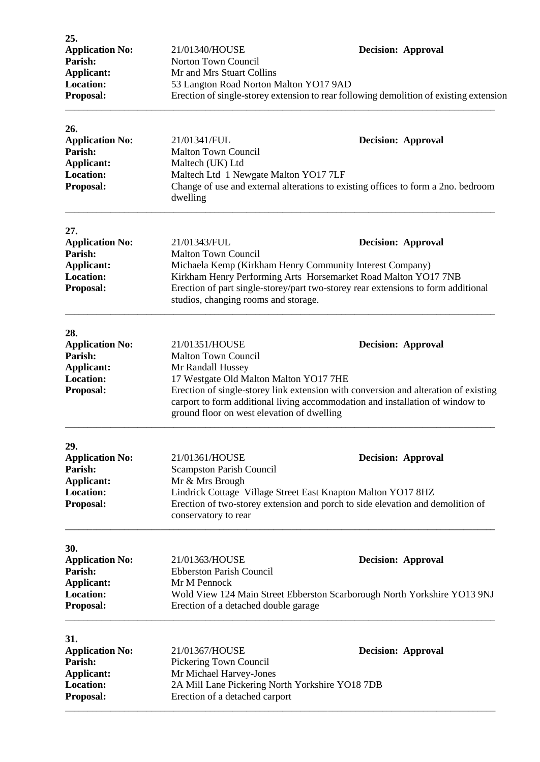| 25.<br><b>Application No:</b><br>Parish:<br>Applicant:<br><b>Location:</b><br>Proposal:        | 21/01340/HOUSE<br>Norton Town Council<br>Mr and Mrs Stuart Collins<br>53 Langton Road Norton Malton YO17 9AD                                                 | <b>Decision: Approval</b><br>Erection of single-storey extension to rear following demolition of existing extension                                                                               |
|------------------------------------------------------------------------------------------------|--------------------------------------------------------------------------------------------------------------------------------------------------------------|---------------------------------------------------------------------------------------------------------------------------------------------------------------------------------------------------|
| 26.<br><b>Application No:</b><br>Parish:<br><b>Applicant:</b><br><b>Location:</b><br>Proposal: | 21/01341/FUL<br><b>Malton Town Council</b><br>Maltech (UK) Ltd<br>Maltech Ltd 1 Newgate Malton YO17 7LF<br>dwelling                                          | <b>Decision: Approval</b><br>Change of use and external alterations to existing offices to form a 2no. bedroom                                                                                    |
| 27.<br><b>Application No:</b><br>Parish:<br>Applicant:<br><b>Location:</b><br>Proposal:        | 21/01343/FUL<br><b>Malton Town Council</b><br>Michaela Kemp (Kirkham Henry Community Interest Company)<br>studios, changing rooms and storage.               | <b>Decision: Approval</b><br>Kirkham Henry Performing Arts Horsemarket Road Malton YO17 7NB<br>Erection of part single-storey/part two-storey rear extensions to form additional                  |
| 28.<br><b>Application No:</b><br>Parish:<br>Applicant:<br><b>Location:</b><br>Proposal:        | 21/01351/HOUSE<br><b>Malton Town Council</b><br>Mr Randall Hussey<br>17 Westgate Old Malton Malton YO17 7HE<br>ground floor on west elevation of dwelling    | <b>Decision: Approval</b><br>Erection of single-storey link extension with conversion and alteration of existing<br>carport to form additional living accommodation and installation of window to |
| 29.<br><b>Application No:</b><br>Parish:<br>Applicant:<br><b>Location:</b><br>Proposal:        | 21/01361/HOUSE<br><b>Scampston Parish Council</b><br>Mr & Mrs Brough<br>Lindrick Cottage Village Street East Knapton Malton YO17 8HZ<br>conservatory to rear | <b>Decision: Approval</b><br>Erection of two-storey extension and porch to side elevation and demolition of                                                                                       |
| 30.<br><b>Application No:</b><br>Parish:<br>Applicant:<br>Location:<br>Proposal:               | 21/01363/HOUSE<br><b>Ebberston Parish Council</b><br>Mr M Pennock<br>Erection of a detached double garage                                                    | <b>Decision: Approval</b><br>Wold View 124 Main Street Ebberston Scarborough North Yorkshire YO13 9NJ                                                                                             |
| 31.<br><b>Application No:</b><br>Parish:<br><b>Applicant:</b><br><b>Location:</b><br>Proposal: | 21/01367/HOUSE<br>Pickering Town Council<br>Mr Michael Harvey-Jones<br>2A Mill Lane Pickering North Yorkshire YO18 7DB<br>Erection of a detached carport     | <b>Decision: Approval</b>                                                                                                                                                                         |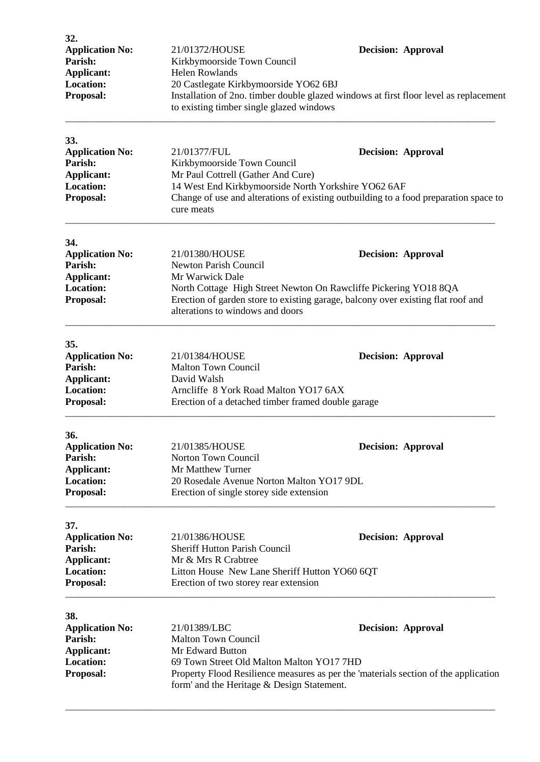| 32.<br><b>Application No:</b><br>Parish:<br><b>Applicant:</b><br><b>Location:</b><br>Proposal: | 21/01372/HOUSE<br>Kirkbymoorside Town Council<br><b>Helen Rowlands</b><br>20 Castlegate Kirkbymoorside YO62 6BJ<br>Installation of 2no. timber double glazed windows at first floor level as replacement<br>to existing timber single glazed windows                          |  | <b>Decision: Approval</b> |
|------------------------------------------------------------------------------------------------|-------------------------------------------------------------------------------------------------------------------------------------------------------------------------------------------------------------------------------------------------------------------------------|--|---------------------------|
| 33.<br><b>Application No:</b><br>Parish:<br><b>Applicant:</b><br><b>Location:</b><br>Proposal: | 21/01377/FUL<br>Kirkbymoorside Town Council<br>Mr Paul Cottrell (Gather And Cure)<br>14 West End Kirkbymoorside North Yorkshire YO62 6AF<br>Change of use and alterations of existing outbuilding to a food preparation space to<br>cure meats                                |  | <b>Decision: Approval</b> |
| 34.<br><b>Application No:</b><br>Parish:<br><b>Applicant:</b><br><b>Location:</b><br>Proposal: | 21/01380/HOUSE<br><b>Newton Parish Council</b><br>Mr Warwick Dale<br>North Cottage High Street Newton On Rawcliffe Pickering YO18 8QA<br>Erection of garden store to existing garage, balcony over existing flat roof and<br>alterations to windows and doors                 |  | <b>Decision: Approval</b> |
| 35.<br><b>Application No:</b><br>Parish:<br><b>Applicant:</b><br><b>Location:</b><br>Proposal: | 21/01384/HOUSE<br><b>Malton Town Council</b><br>David Walsh<br>Arncliffe 8 York Road Malton YO17 6AX<br>Erection of a detached timber framed double garage                                                                                                                    |  | <b>Decision: Approval</b> |
| 36.<br><b>Application No:</b><br>Parish:<br><b>Applicant:</b><br><b>Location:</b><br>Proposal: | 21/01385/HOUSE<br>Norton Town Council<br>Mr Matthew Turner<br>20 Rosedale Avenue Norton Malton YO17 9DL<br>Erection of single storey side extension                                                                                                                           |  | <b>Decision: Approval</b> |
| 37.<br><b>Application No:</b><br>Parish:<br><b>Applicant:</b><br><b>Location:</b><br>Proposal: | 21/01386/HOUSE<br><b>Sheriff Hutton Parish Council</b><br>Mr & Mrs R Crabtree<br>Litton House New Lane Sheriff Hutton YO60 6QT<br>Erection of two storey rear extension                                                                                                       |  | <b>Decision: Approval</b> |
| 38.<br><b>Application No:</b><br>Parish:<br>Applicant:<br><b>Location:</b><br>Proposal:        | 21/01389/LBC<br><b>Decision: Approval</b><br><b>Malton Town Council</b><br>Mr Edward Button<br>69 Town Street Old Malton Malton YO17 7HD<br>Property Flood Resilience measures as per the 'materials section of the application<br>form' and the Heritage & Design Statement. |  |                           |

\_\_\_\_\_\_\_\_\_\_\_\_\_\_\_\_\_\_\_\_\_\_\_\_\_\_\_\_\_\_\_\_\_\_\_\_\_\_\_\_\_\_\_\_\_\_\_\_\_\_\_\_\_\_\_\_\_\_\_\_\_\_\_\_\_\_\_\_\_\_\_\_\_\_\_\_\_\_\_\_\_\_\_\_\_\_\_\_\_\_\_\_\_\_\_